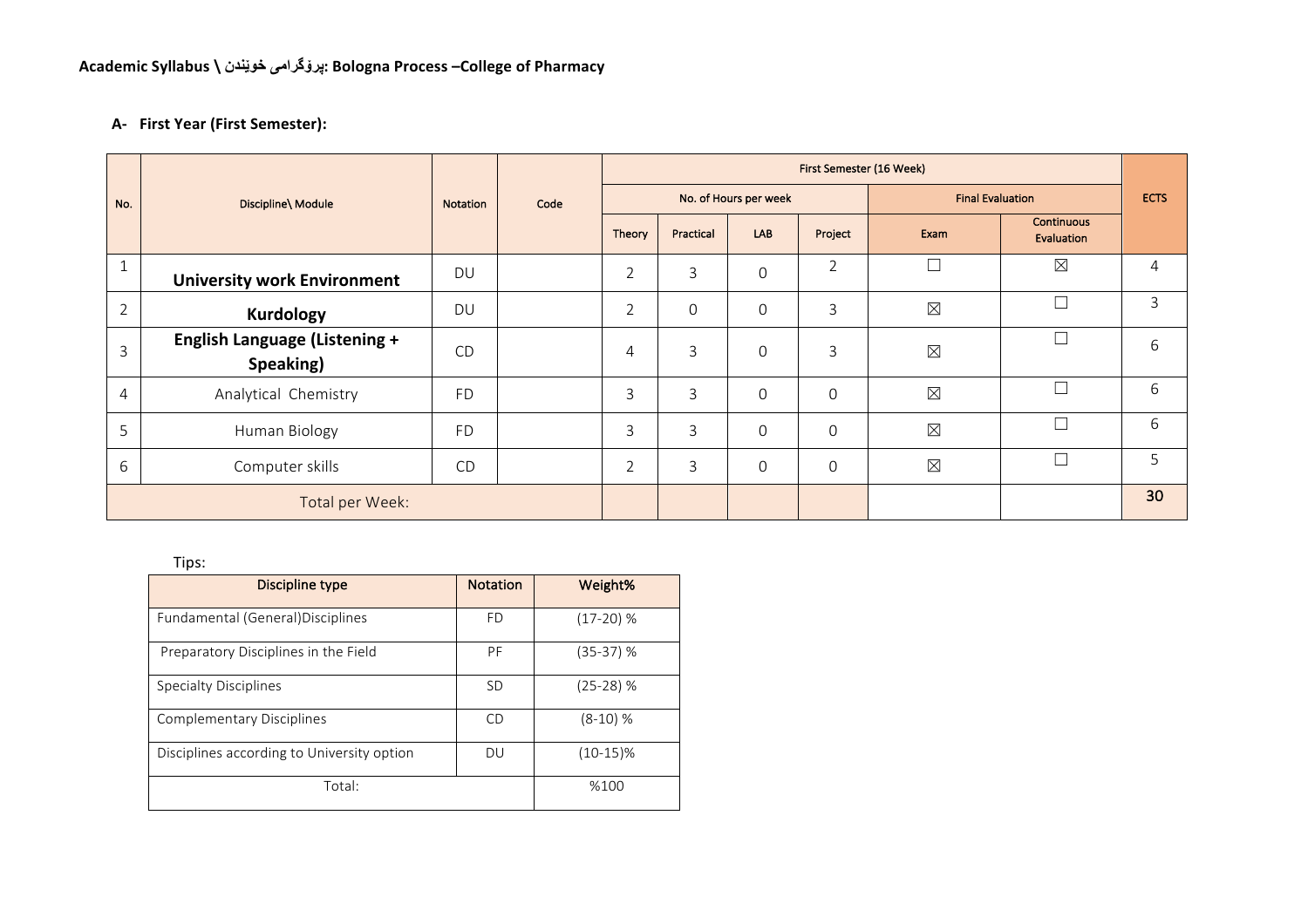## **A- First Year (First Semester):**

|                 | Discipline\ Module                                |           |      |                | First Semester (16 Week) |                       |                  |                         |                                 |    |  |  |
|-----------------|---------------------------------------------------|-----------|------|----------------|--------------------------|-----------------------|------------------|-------------------------|---------------------------------|----|--|--|
| No.             |                                                   | Notation  | Code |                |                          | No. of Hours per week |                  | <b>Final Evaluation</b> | <b>ECTS</b>                     |    |  |  |
|                 |                                                   |           |      | Theory         | Practical                | LAB                   | Project          | Exam                    | <b>Continuous</b><br>Evaluation |    |  |  |
| $1\,$           | <b>University work Environment</b>                | <b>DU</b> |      | $\overline{2}$ | 3                        | $\Omega$              | $\overline{2}$   | Г                       | $\times$                        | 4  |  |  |
| $\overline{2}$  | <b>Kurdology</b>                                  | <b>DU</b> |      | $\overline{2}$ | $\mathbf 0$              | $\Omega$              | 3                | $\boxtimes$             | $\Box$                          | 3  |  |  |
| 3               | <b>English Language (Listening +</b><br>Speaking) | CD        |      | $\overline{4}$ | 3                        | $\Omega$              | 3                | $\boxtimes$             | П                               | 6  |  |  |
| $\overline{4}$  | Analytical Chemistry                              | <b>FD</b> |      | 3              | 3                        | $\Omega$              | 0                | $\boxtimes$             | □                               | 6  |  |  |
| 5               | Human Biology                                     | <b>FD</b> |      | 3              | 3                        | $\Omega$              | 0                | $\boxtimes$             | ┑                               | 6  |  |  |
| 6               | Computer skills                                   | <b>CD</b> |      | $\overline{2}$ | 3                        | $\mathbf 0$           | $\boldsymbol{0}$ | $\boxtimes$             | П                               | 5  |  |  |
| Total per Week: |                                                   |           |      |                |                          |                       |                  |                         |                                 | 30 |  |  |

| $\cdots$                                   |                 |             |  |  |  |  |  |  |  |
|--------------------------------------------|-----------------|-------------|--|--|--|--|--|--|--|
| Discipline type                            | <b>Notation</b> | Weight%     |  |  |  |  |  |  |  |
| Fundamental (General) Disciplines          | <b>FD</b>       | $(17-20)%$  |  |  |  |  |  |  |  |
| Preparatory Disciplines in the Field       | PF              | (35-37) %   |  |  |  |  |  |  |  |
| <b>Specialty Disciplines</b>               | <b>SD</b>       | (25-28) %   |  |  |  |  |  |  |  |
| <b>Complementary Disciplines</b>           | CD              | $(8-10)$ %  |  |  |  |  |  |  |  |
| Disciplines according to University option | DU              | $(10-15)\%$ |  |  |  |  |  |  |  |
| Total:                                     | %100            |             |  |  |  |  |  |  |  |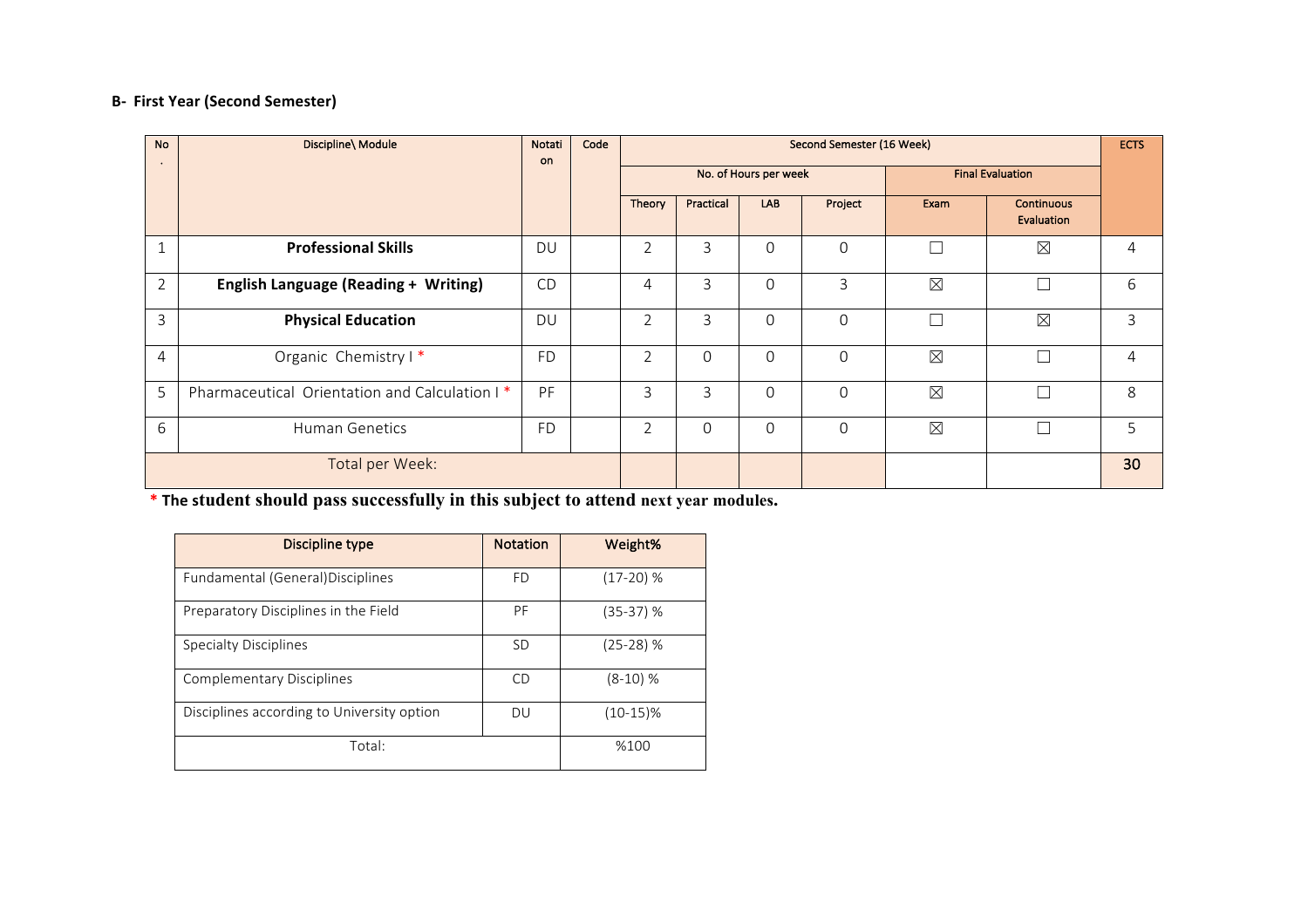## **B-** First Year (Second Semester)

| <b>No</b><br>$\bullet$ | Discipline\ Module                            | Notati<br>on. | Code |                | Second Semester (16 Week) |                       |             |                         |                                 |   |
|------------------------|-----------------------------------------------|---------------|------|----------------|---------------------------|-----------------------|-------------|-------------------------|---------------------------------|---|
|                        |                                               |               |      |                |                           | No. of Hours per week |             | <b>Final Evaluation</b> |                                 |   |
|                        |                                               |               |      | Theory         | Practical                 | LAB                   | Project     | Exam                    | <b>Continuous</b><br>Evaluation |   |
| 1                      | <b>Professional Skills</b>                    | DU            |      | $\overline{2}$ | 3                         | $\Omega$              | $\Omega$    |                         | $\boxtimes$                     | 4 |
| $\overline{2}$         | <b>English Language (Reading + Writing)</b>   | CD            |      | 4              | 3                         | $\Omega$              | 3           | $\times$                |                                 | 6 |
| 3                      | <b>Physical Education</b>                     | DU            |      | $\overline{2}$ | 3                         | $\Omega$              | $\mathbf 0$ | Ξ                       | $\boxtimes$                     | 3 |
| $\overline{4}$         | Organic Chemistry I*                          | <b>FD</b>     |      | $\overline{2}$ | $\Omega$                  | $\Omega$              | $\Omega$    | $\boxtimes$             |                                 | 4 |
| 5                      | Pharmaceutical Orientation and Calculation I* | PF            |      | 3              | 3                         | $\Omega$              | $\Omega$    | $\boxtimes$             | ┑                               | 8 |
| 6                      | <b>Human Genetics</b>                         | <b>FD</b>     |      | $\overline{2}$ | $\Omega$                  | $\Omega$              | $\Omega$    | $\times$                |                                 | 5 |
| Total per Week:        |                                               |               |      |                |                           |                       |             |                         | 30                              |   |

 $*$  **The student should pass successfully in this subject to attend next year modules.** 

| Discipline type                            | <b>Notation</b> | Weight%     |
|--------------------------------------------|-----------------|-------------|
| Fundamental (General) Disciplines          | <b>FD</b>       | $(17-20)$ % |
| Preparatory Disciplines in the Field       | PF              | (35-37) %   |
| <b>Specialty Disciplines</b>               | <b>SD</b>       | $(25-28)$ % |
| Complementary Disciplines                  | CD              | $(8-10)$ %  |
| Disciplines according to University option | DU              | $(10-15)\%$ |
| Total:                                     |                 | %100        |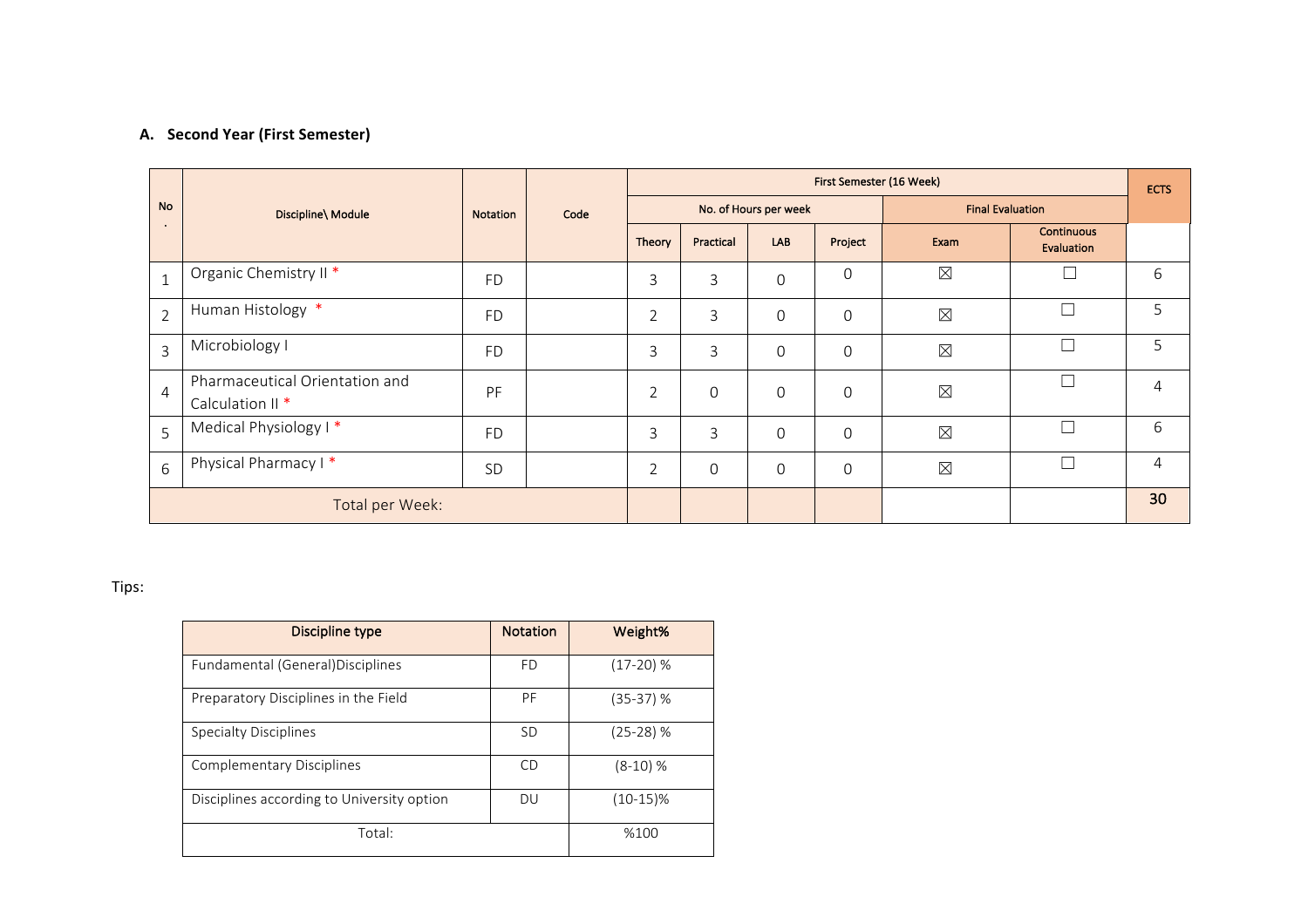### **A.** Second Year (First Semester)

|                |                                                               |           |      | First Semester (16 Week) |                |                       |          |                         |                                 |                 |
|----------------|---------------------------------------------------------------|-----------|------|--------------------------|----------------|-----------------------|----------|-------------------------|---------------------------------|-----------------|
| <b>No</b>      | Discipline\ Module                                            | Notation  | Code |                          |                | No. of Hours per week |          | <b>Final Evaluation</b> |                                 |                 |
| $\bullet$      |                                                               |           |      | Theory                   | Practical      | LAB                   | Project  | Exam                    | <b>Continuous</b><br>Evaluation |                 |
| $\mathbf{1}$   | Organic Chemistry II <sup>*</sup>                             | <b>FD</b> |      | 3                        | 3              | $\mathbf 0$           | 0        | $\boxtimes$             | $\Box$                          | 6               |
| $\overline{2}$ | Human Histology *                                             | <b>FD</b> |      | $\overline{2}$           | 3              | $\mathbf 0$           | $\Omega$ | $\boxtimes$             | $\Box$                          | 5               |
| $\overline{3}$ | Microbiology I                                                | <b>FD</b> |      | 3                        | 3              | $\mathbf 0$           | $\Omega$ | $\boxtimes$             | $\Box$                          | 5               |
| $\overline{4}$ | Pharmaceutical Orientation and<br>Calculation II <sup>*</sup> | PF        |      | $\overline{2}$           | $\mathbf 0$    | $\mathbf 0$           | $\Omega$ | $\boxtimes$             | $\overline{\phantom{a}}$        | $\overline{4}$  |
| 5              | Medical Physiology I*                                         | <b>FD</b> |      | 3                        | 3              | $\mathbf 0$           | $\Omega$ | $\boxtimes$             | $\overline{\phantom{a}}$        | 6               |
| 6              | Physical Pharmacy I*                                          | SD        |      | $\overline{2}$           | $\overline{0}$ | $\mathbf 0$           | $\Omega$ | $\boxtimes$             | $\overline{\phantom{a}}$        | 4               |
|                | Total per Week:                                               |           |      |                          |                |                       |          |                         |                                 | 30 <sub>2</sub> |

| Discipline type                            | <b>Notation</b> | Weight%     |
|--------------------------------------------|-----------------|-------------|
| Fundamental (General) Disciplines          | FD              | $(17-20)$ % |
| Preparatory Disciplines in the Field       | PF              | (35-37) %   |
| <b>Specialty Disciplines</b>               | <b>SD</b>       | (25-28) %   |
| <b>Complementary Disciplines</b>           | <b>CD</b>       | $(8-10)$ %  |
| Disciplines according to University option | DU              | $(10-15)\%$ |
| Total:                                     |                 | %100        |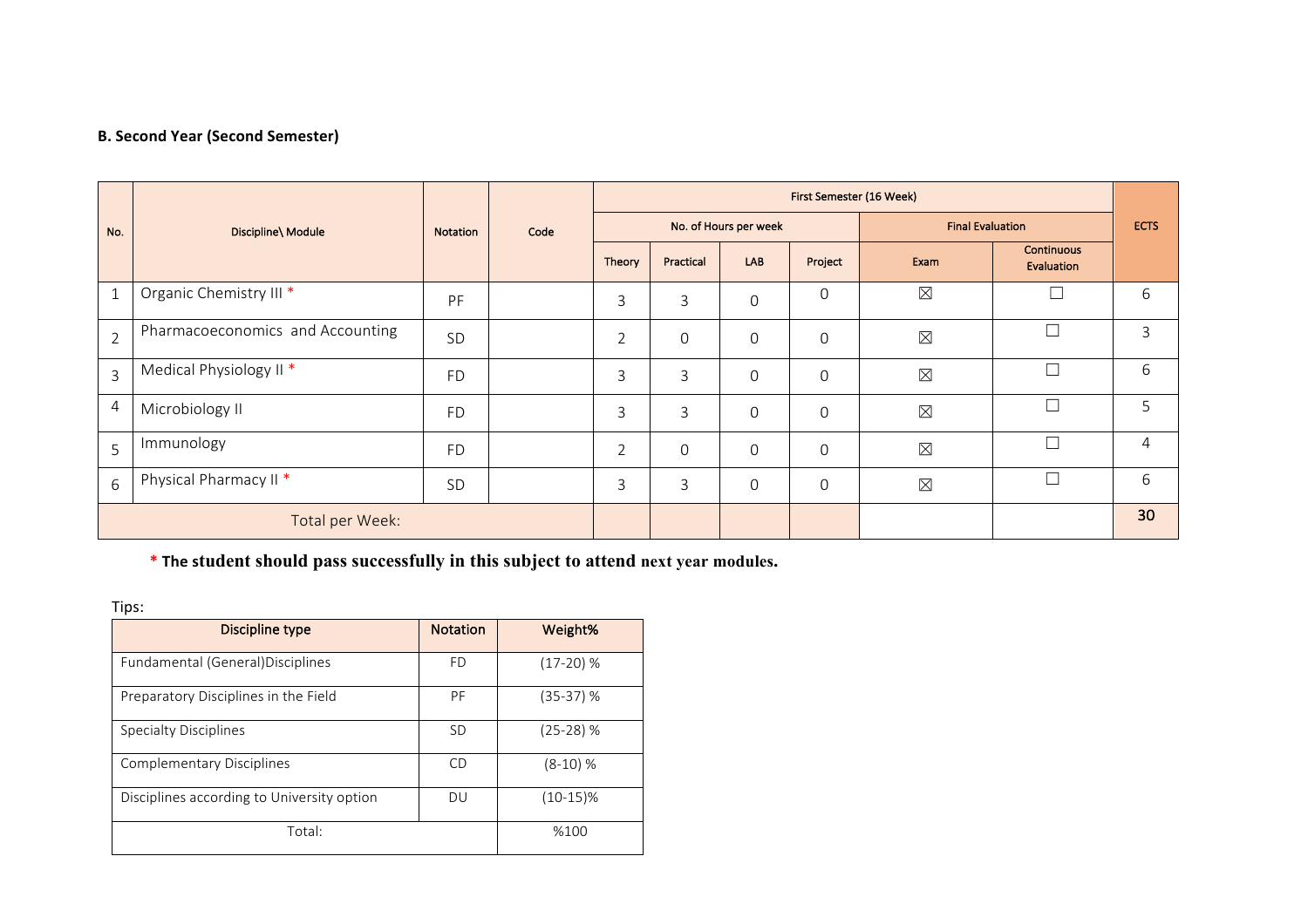## **B. Second Year (Second Semester)**

|                 | Discipline\ Module               |           | Code |                | First Semester (16 Week) |                       |                |                         |                                 |    |  |  |
|-----------------|----------------------------------|-----------|------|----------------|--------------------------|-----------------------|----------------|-------------------------|---------------------------------|----|--|--|
| No.             |                                  | Notation  |      |                |                          | No. of Hours per week |                | <b>Final Evaluation</b> | <b>ECTS</b>                     |    |  |  |
|                 |                                  |           |      | Theory         | Practical                | LAB                   | Project        | Exam                    | <b>Continuous</b><br>Evaluation |    |  |  |
| $\mathbf{1}$    | Organic Chemistry III *          | PF        |      | 3              | 3                        | $\boldsymbol{0}$      | $\mathbf 0$    | $\boxtimes$             |                                 | 6  |  |  |
| $\overline{2}$  | Pharmacoeconomics and Accounting | SD        |      | $\overline{2}$ | $\mathbf 0$              | 0                     | $\mathbf 0$    | $\boxtimes$             | Г                               | 3  |  |  |
| $\overline{3}$  | Medical Physiology II*           | FD        |      | 3              | 3                        | 0                     | $\mathbf 0$    | $\boxtimes$             | $\Box$                          | 6  |  |  |
| 4               | Microbiology II                  | FD        |      | 3              | 3                        | $\mathbf 0$           | $\overline{0}$ | $\boxtimes$             |                                 | 5  |  |  |
| 5               | Immunology                       | <b>FD</b> |      | $\overline{2}$ | $\mathbf 0$              | $\mathbf 0$           | $\overline{0}$ | $\boxtimes$             |                                 | 4  |  |  |
| $6\overline{6}$ | Physical Pharmacy II *           | <b>SD</b> |      | 3              | $\mathsf{3}$             | 0                     | $\mathbf 0$    | $\boxtimes$             |                                 | 6  |  |  |
|                 | Total per Week:                  |           |      |                |                          |                       |                |                         |                                 | 30 |  |  |

\* The student should pass successfully in this subject to attend next year modules.

| Discipline type                            | <b>Notation</b> | Weight%     |
|--------------------------------------------|-----------------|-------------|
| Fundamental (General) Disciplines          | FD              | $(17-20)$ % |
| Preparatory Disciplines in the Field       | PF              | (35-37) %   |
| <b>Specialty Disciplines</b>               | <b>SD</b>       | (25-28) %   |
| Complementary Disciplines                  | CD              | (8-10) %    |
| Disciplines according to University option | DU              | $(10-15)\%$ |
| Total:                                     | %100            |             |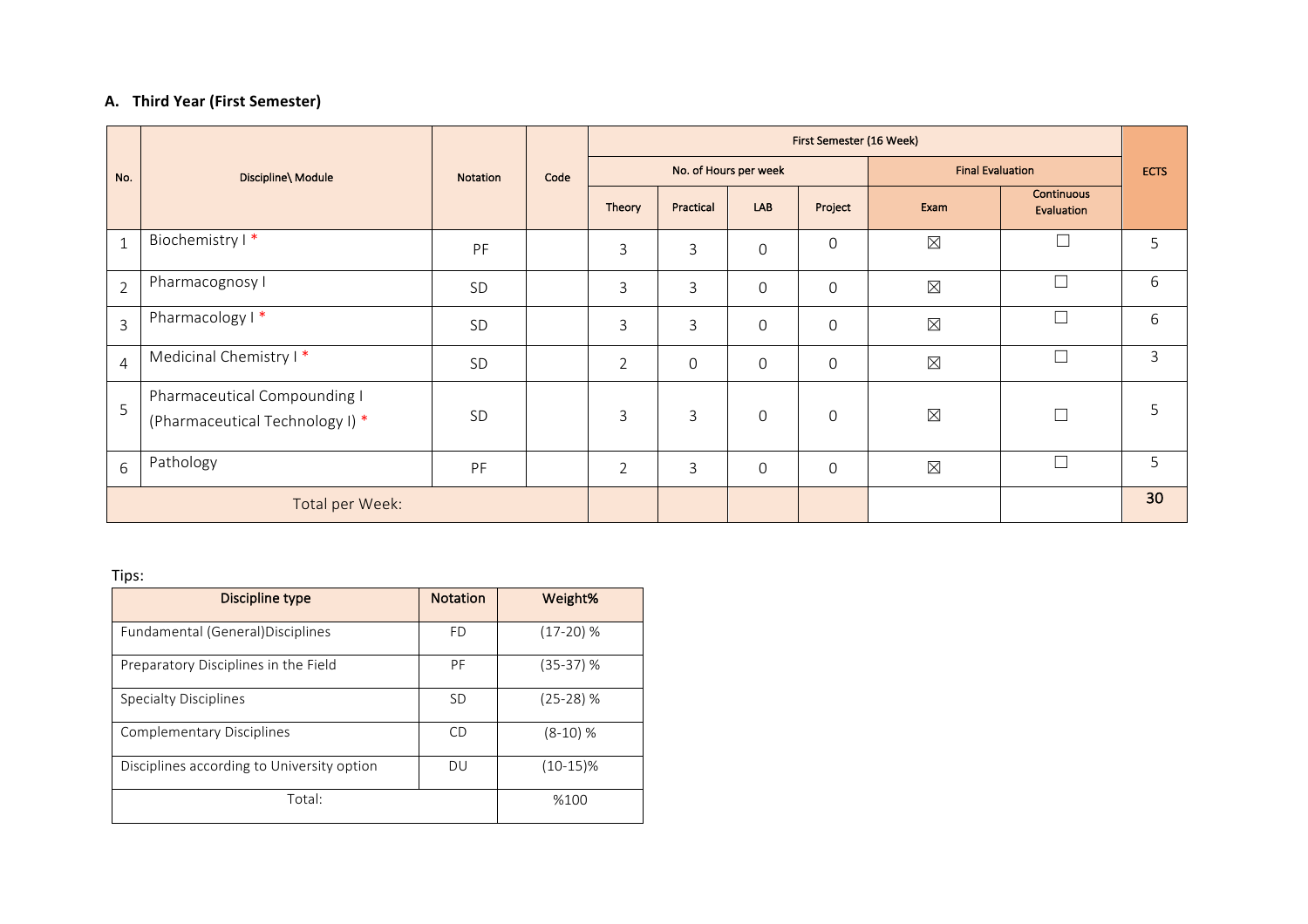### **A.** Third Year (First Semester)

|                 | Discipline\ Module                                              |                 |      | First Semester (16 Week) |                |                       |                     |                         |                                 |   |  |
|-----------------|-----------------------------------------------------------------|-----------------|------|--------------------------|----------------|-----------------------|---------------------|-------------------------|---------------------------------|---|--|
| No.             |                                                                 | <b>Notation</b> | Code |                          |                | No. of Hours per week |                     | <b>Final Evaluation</b> | <b>ECTS</b>                     |   |  |
|                 |                                                                 |                 |      | Theory                   | Practical      | <b>LAB</b>            | Project             | Exam                    | <b>Continuous</b><br>Evaluation |   |  |
| $1\,$           | Biochemistry I*                                                 | PF              |      | 3                        | 3              | $\mathsf{O}\xspace$   | $\boldsymbol{0}$    | $\boxtimes$             | $\Box$                          | 5 |  |
| $\overline{2}$  | Pharmacognosy I                                                 | SD              |      | 3                        | 3              | $\overline{0}$        | $\mathsf{O}\xspace$ | $\boxtimes$             |                                 | 6 |  |
| $\overline{3}$  | Pharmacology I*                                                 | <b>SD</b>       |      | 3                        | 3              | $\mathbf 0$           | $\mathsf{O}\xspace$ | $\boxtimes$             | П                               | 6 |  |
| $\overline{4}$  | Medicinal Chemistry I*                                          | SD              |      | $\overline{2}$           | $\overline{0}$ | $\mathbf 0$           | $\mathbf 0$         | $\boxtimes$             |                                 | 3 |  |
| 5               | Pharmaceutical Compounding I<br>(Pharmaceutical Technology I) * | <b>SD</b>       |      | 3                        | 3              | $\mathbf 0$           | 0                   | $\boxtimes$             |                                 | 5 |  |
| 6               | Pathology                                                       | PF              |      | $\overline{2}$           | 3              | $\mathbf 0$           | 0                   | $\boxtimes$             |                                 | 5 |  |
| Total per Week: |                                                                 |                 |      |                          |                |                       |                     |                         | 30                              |   |  |

| Discipline type                            | <b>Notation</b> | Weight%     |
|--------------------------------------------|-----------------|-------------|
| Fundamental (General) Disciplines          | <b>FD</b>       | $(17-20)$ % |
| Preparatory Disciplines in the Field       | PF              | (35-37) %   |
| Specialty Disciplines                      | <b>SD</b>       | (25-28) %   |
| <b>Complementary Disciplines</b>           | CD              | $(8-10)$ %  |
| Disciplines according to University option | <b>DU</b>       | $(10-15)\%$ |
| Total:                                     | %100            |             |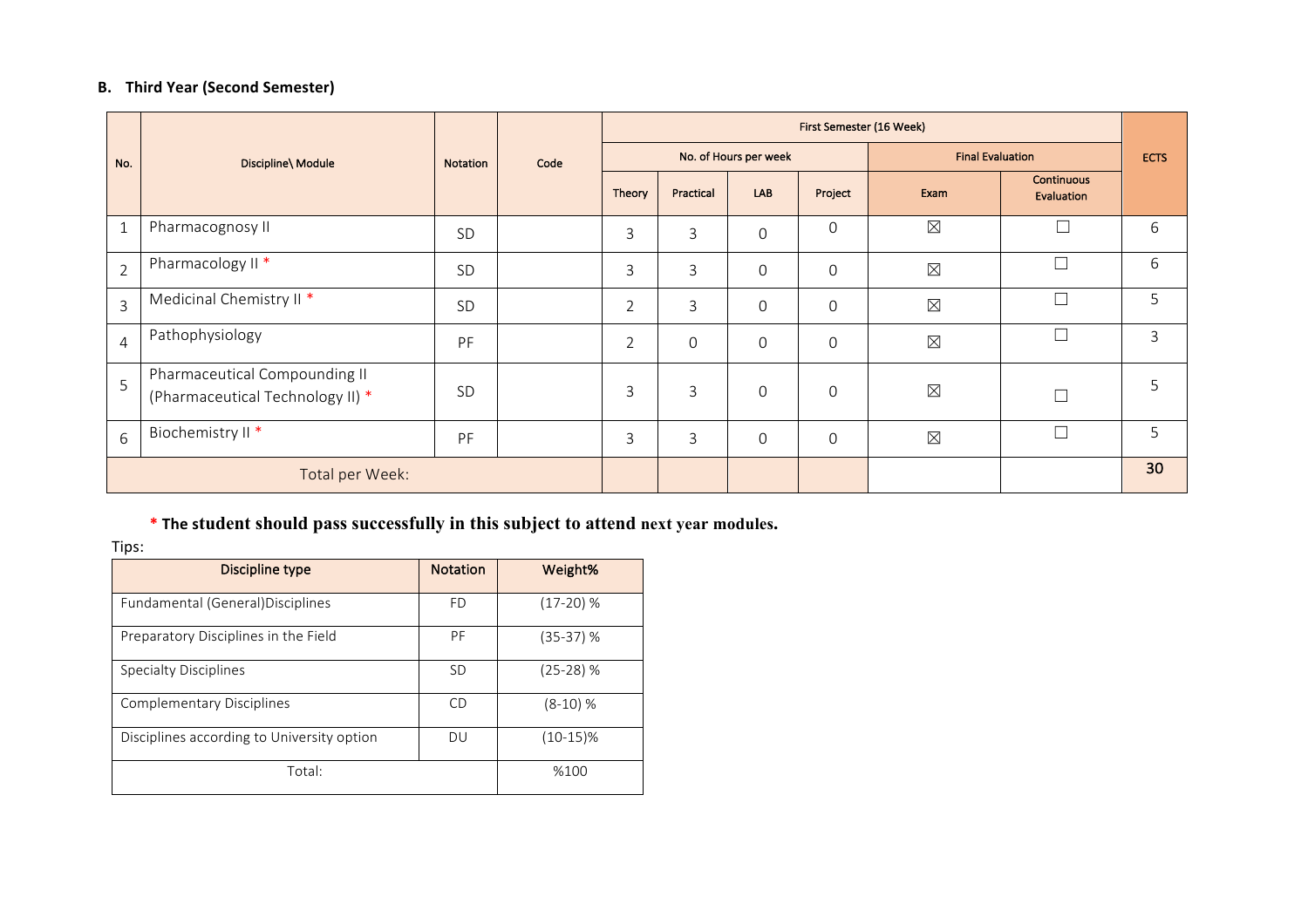# **B.** Third Year (Second Semester)

|                | Discipline\ Module                                                |                 |      |                | First Semester (16 Week) |                       |              |                         |                                 |    |  |  |
|----------------|-------------------------------------------------------------------|-----------------|------|----------------|--------------------------|-----------------------|--------------|-------------------------|---------------------------------|----|--|--|
| No.            |                                                                   | <b>Notation</b> | Code |                |                          | No. of Hours per week |              | <b>Final Evaluation</b> | <b>ECTS</b>                     |    |  |  |
|                |                                                                   |                 |      | Theory         | Practical                | LAB                   | Project      | Exam                    | <b>Continuous</b><br>Evaluation |    |  |  |
| $\mathbf{1}$   | Pharmacognosy II                                                  | SD              |      | 3              | 3                        | $\mathbf 0$           | 0            | $\boxtimes$             | П                               | 6  |  |  |
| $\overline{2}$ | Pharmacology II *                                                 | <b>SD</b>       |      | 3              | 3                        | $\Omega$              | 0            | $\boxtimes$             | $\Box$                          | 6  |  |  |
| $\overline{3}$ | Medicinal Chemistry II <sup>*</sup>                               | <b>SD</b>       |      | $\overline{2}$ | 3                        | $\mathbf 0$           | 0            | $\boxtimes$             | П                               | 5  |  |  |
| $\overline{4}$ | Pathophysiology                                                   | PF              |      | $\overline{2}$ | $\mathbf 0$              | $\mathbf 0$           | 0            | $\boxtimes$             | $\Box$                          | 3  |  |  |
| $\overline{5}$ | Pharmaceutical Compounding II<br>(Pharmaceutical Technology II) * | <b>SD</b>       |      | 3              | 3                        | $\mathbf 0$           | 0            | $\boxtimes$             | $\Box$                          | 5  |  |  |
| $6\phantom{a}$ | Biochemistry II <sup>*</sup>                                      | PF              |      | 3              | 3                        | $\mathbf 0$           | $\mathsf{O}$ | $\boxtimes$             | Г                               | 5  |  |  |
|                | Total per Week:                                                   |                 |      |                |                          |                       |              |                         |                                 | 30 |  |  |

# \* The student should pass successfully in this subject to attend next year modules.

| Discipline type                            | <b>Notation</b> | Weight%     |  |  |  |  |  |  |
|--------------------------------------------|-----------------|-------------|--|--|--|--|--|--|
| Fundamental (General) Disciplines          | <b>FD</b>       | $(17-20)$ % |  |  |  |  |  |  |
| Preparatory Disciplines in the Field       | PF              | (35-37) %   |  |  |  |  |  |  |
| <b>Specialty Disciplines</b>               | <b>SD</b>       | $(25-28)$ % |  |  |  |  |  |  |
| Complementary Disciplines                  | CD              | $(8-10)$ %  |  |  |  |  |  |  |
| Disciplines according to University option | DU              | $(10-15)\%$ |  |  |  |  |  |  |
| Total:                                     |                 |             |  |  |  |  |  |  |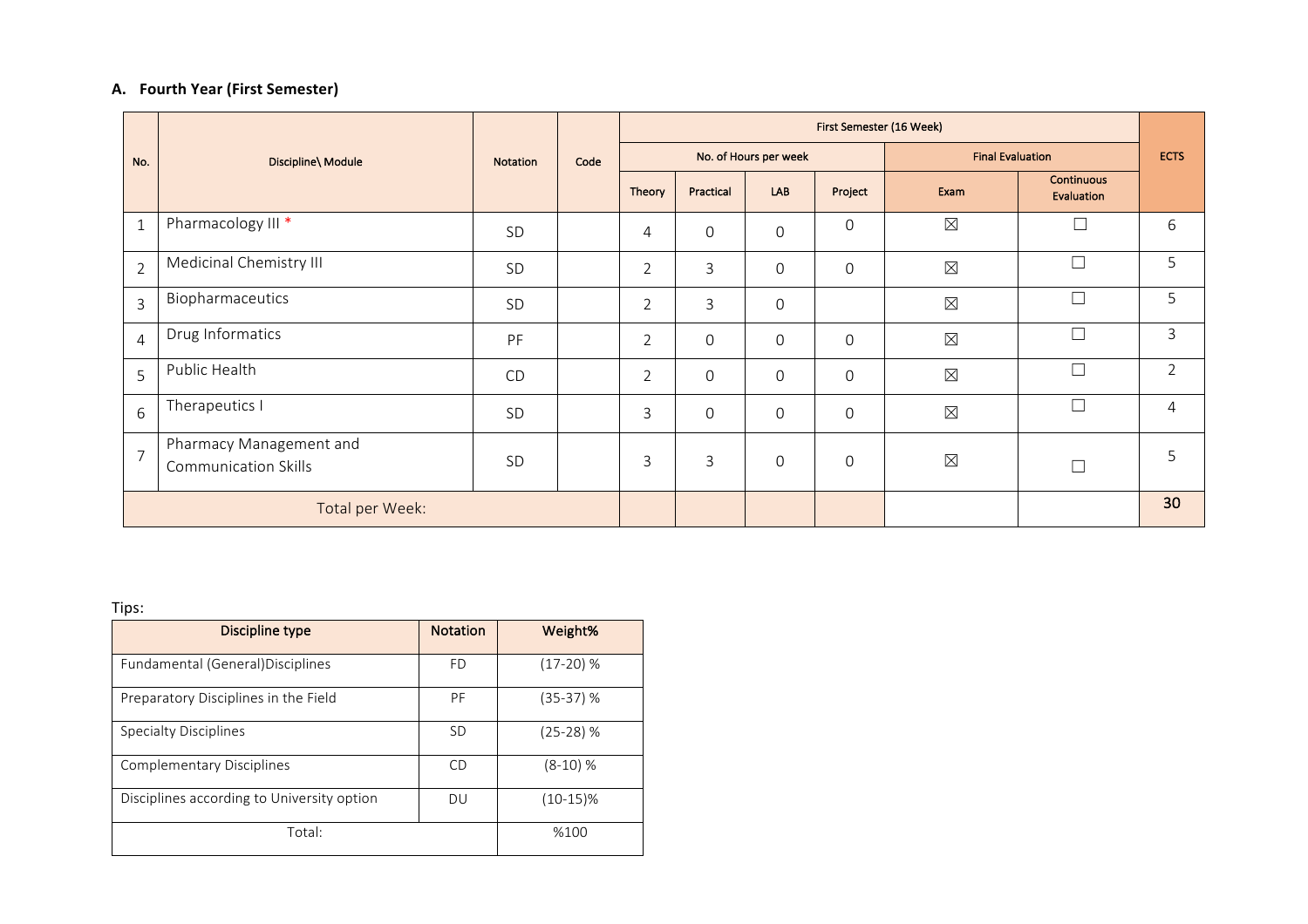## **A. Fourth Year (First Semester)**

|                |                                                        |                 |      | First Semester (16 Week) |                |                       |                  |                         |                                 |                |  |
|----------------|--------------------------------------------------------|-----------------|------|--------------------------|----------------|-----------------------|------------------|-------------------------|---------------------------------|----------------|--|
| No.            | Discipline\ Module                                     | <b>Notation</b> | Code |                          |                | No. of Hours per week |                  | <b>Final Evaluation</b> |                                 | <b>ECTS</b>    |  |
|                |                                                        |                 |      | Theory                   | Practical      | LAB                   | Project          | Exam                    | <b>Continuous</b><br>Evaluation |                |  |
| $\mathbf{1}$   | Pharmacology III *                                     | SD              |      | 4                        | $\mathbf 0$    | $\mathsf{O}\xspace$   | $\boldsymbol{0}$ | $\boxtimes$             | $\Box$                          | 6              |  |
| $\overline{2}$ | Medicinal Chemistry III                                | SD              |      | $\overline{2}$           | 3              | $\overline{0}$        | $\mathbf 0$      | $\boxtimes$             | $\Box$                          | 5              |  |
| $\overline{3}$ | Biopharmaceutics                                       | <b>SD</b>       |      | $\overline{2}$           | 3              | 0                     |                  | $\boxtimes$             |                                 | 5              |  |
| $\overline{4}$ | Drug Informatics                                       | PF              |      | $\overline{2}$           | $\mathbf 0$    | $\mathbf 0$           | $\mathbf 0$      | $\boxtimes$             | $\Box$                          | $\overline{3}$ |  |
| 5              | Public Health                                          | <b>CD</b>       |      | $\overline{2}$           | $\mathbf 0$    | $\overline{0}$        | $\mathbf 0$      | $\boxtimes$             | $\Box$                          | $\overline{2}$ |  |
| 6              | Therapeutics I                                         | SD              |      | 3                        | $\overline{0}$ | $\mathbf 0$           | $\mathbf 0$      | $\boxtimes$             | $\Box$                          | 4              |  |
| $\overline{7}$ | Pharmacy Management and<br><b>Communication Skills</b> | SD              |      | 3                        | 3              | $\mathbf 0$           | $\mathbf 0$      | $\boxtimes$             |                                 | 5              |  |
|                | Total per Week:                                        |                 |      |                          |                |                       |                  |                         |                                 | 30             |  |

| Discipline type                            | <b>Notation</b> | Weight%     |
|--------------------------------------------|-----------------|-------------|
| Fundamental (General) Disciplines          | FD              | $(17-20)$ % |
| Preparatory Disciplines in the Field       | PF              | (35-37) %   |
| <b>Specialty Disciplines</b>               | <b>SD</b>       | $(25-28)$ % |
| Complementary Disciplines                  | CD              | $(8-10)$ %  |
| Disciplines according to University option | DU              | $(10-15)\%$ |
| Total:                                     | %100            |             |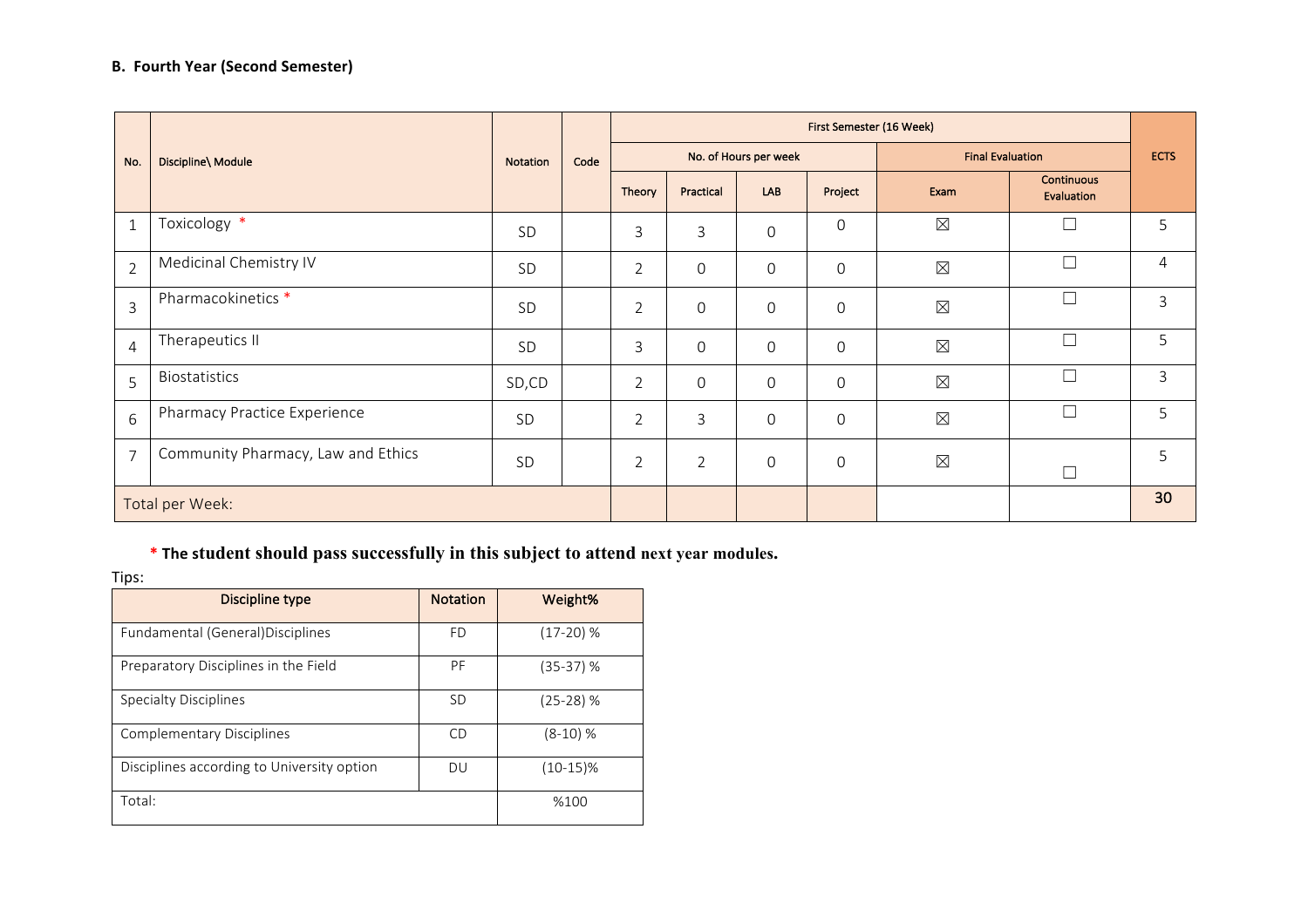# **B.** Fourth Year (Second Semester)

|                 |                                    |                 |      | First Semester (16 Week) |                |                       |                     |                         |                                 |             |
|-----------------|------------------------------------|-----------------|------|--------------------------|----------------|-----------------------|---------------------|-------------------------|---------------------------------|-------------|
| No.             | Discipline\ Module                 | <b>Notation</b> | Code |                          |                | No. of Hours per week |                     | <b>Final Evaluation</b> |                                 | <b>ECTS</b> |
|                 |                                    |                 |      | Theory                   | Practical      | LAB                   | Project             | Exam                    | <b>Continuous</b><br>Evaluation |             |
| $\mathbf{1}$    | Toxicology *                       | SD              |      | 3                        | 3              | $\mathbf 0$           | $\mathsf{O}\xspace$ | $\boxtimes$             | $\Box$                          | 5           |
| $\overline{2}$  | Medicinal Chemistry IV             | SD              |      | $\overline{2}$           | $\mathbf 0$    | $\mathbf 0$           | $\mathbf 0$         | $\boxtimes$             | $\Box$                          | 4           |
| $\overline{3}$  | Pharmacokinetics *                 | SD              |      | $\overline{2}$           | $\mathbf 0$    | $\mathbf 0$           | $\mathbf 0$         | $\boxtimes$             | $\Box$                          | 3           |
| $\overline{4}$  | Therapeutics II                    | SD              |      | 3                        | $\mathbf 0$    | $\mathbf 0$           | $\mathbf 0$         | $\boxtimes$             | $\Box$                          | 5           |
| 5               | Biostatistics                      | SD,CD           |      | $\overline{2}$           | $\mathbf 0$    | $\mathbf 0$           | $\mathbf 0$         | $\boxtimes$             | $\Box$                          | 3           |
| $6\phantom{a}$  | Pharmacy Practice Experience       | SD              |      | $\overline{2}$           | 3              | $\mathbf 0$           | $\mathbf 0$         | $\boxtimes$             | $\Box$                          | 5           |
| $\overline{7}$  | Community Pharmacy, Law and Ethics | SD              |      | $\overline{2}$           | $\overline{2}$ | $\mathbf 0$           | $\mathbf 0$         | $\boxtimes$             | $\Box$                          | 5           |
| Total per Week: |                                    |                 |      |                          |                |                       |                     |                         | 30                              |             |

# \* The student should pass successfully in this subject to attend next year modules.

| Discipline type                            | <b>Notation</b> | Weight%     |
|--------------------------------------------|-----------------|-------------|
| Fundamental (General) Disciplines          | <b>FD</b>       | $(17-20)$ % |
| Preparatory Disciplines in the Field       | PF              | $(35-37)$ % |
| Specialty Disciplines                      | <b>SD</b>       | $(25-28)$ % |
| Complementary Disciplines                  | CD              | $(8-10)$ %  |
| Disciplines according to University option | DU              | (10-15)%    |
| Total:                                     | %100            |             |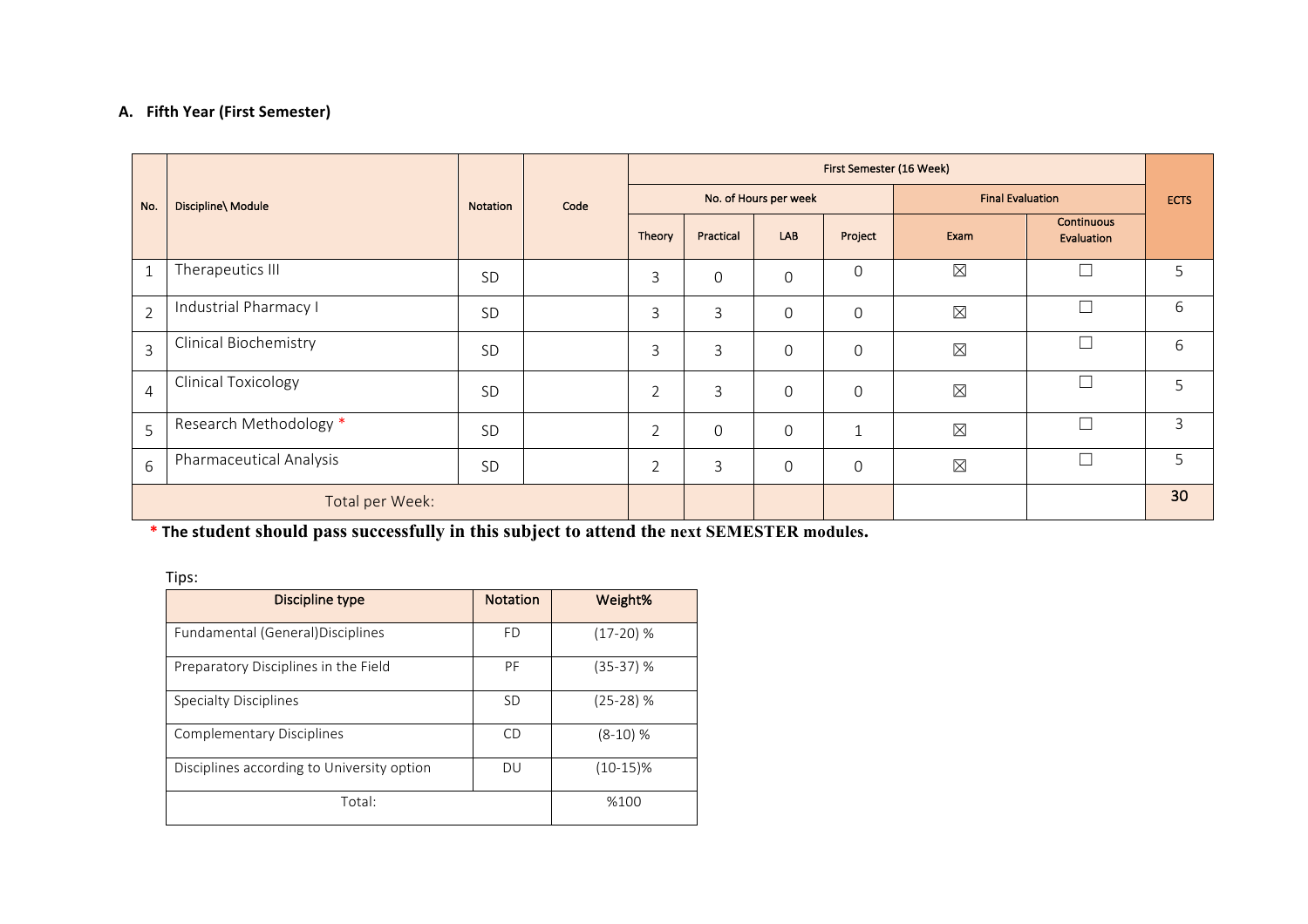### **A. Fifth Year (First Semester)**

|                |                                |           | Code | First Semester (16 Week) |                |                       |              |                         |                                 |             |
|----------------|--------------------------------|-----------|------|--------------------------|----------------|-----------------------|--------------|-------------------------|---------------------------------|-------------|
| No.            | Discipline\ Module             | Notation  |      |                          |                | No. of Hours per week |              | <b>Final Evaluation</b> |                                 | <b>ECTS</b> |
|                |                                |           |      | Theory                   | Practical      | LAB                   | Project      | Exam                    | <b>Continuous</b><br>Evaluation |             |
| $\mathbf{1}$   | Therapeutics III               | SD        |      | $\mathsf{3}$             | $\overline{0}$ | $\mathbf 0$           | $\mathbf 0$  | $\boxtimes$             | $\Box$                          | 5           |
| $\overline{2}$ | Industrial Pharmacy I          | SD        |      | $\mathsf{3}$             | 3              | $\mathbf 0$           | $\mathbf 0$  | $\boxtimes$             | $\Box$                          | 6           |
| $\overline{3}$ | <b>Clinical Biochemistry</b>   | SD        |      | $\overline{3}$           | 3              | $\mathbf 0$           | $\mathbf 0$  | $\boxtimes$             | $\Box$                          | 6           |
| $\overline{4}$ | <b>Clinical Toxicology</b>     | SD        |      | $\overline{2}$           | 3              | $\mathbf 0$           | $\mathbf 0$  | $\boxtimes$             | $\Box$                          | 5           |
| 5              | Research Methodology *         | SD        |      | $\overline{2}$           | $\mathbf 0$    | $\mathbf 0$           | $\mathbf{1}$ | $\boxtimes$             | $\Box$                          | 3           |
| 6              | <b>Pharmaceutical Analysis</b> | <b>SD</b> |      | $\overline{2}$           | 3              | $\mathbf 0$           | 0            | $\boxtimes$             | $\Box$                          | 5           |
|                | Total per Week:                |           |      |                          |                |                       |              |                         |                                 | 30          |

\* **The student should pass successfully in this subject to attend the next SEMESTER modules.** 

| Discipline type                            | <b>Notation</b> | Weight%     |
|--------------------------------------------|-----------------|-------------|
| Fundamental (General) Disciplines          | <b>FD</b>       | $(17-20)$ % |
| Preparatory Disciplines in the Field       | PF              | (35-37) %   |
| <b>Specialty Disciplines</b>               | <b>SD</b>       | $(25-28)$ % |
| <b>Complementary Disciplines</b>           | CD              | $(8-10)$ %  |
| Disciplines according to University option | DU              | $(10-15)\%$ |
| Total:                                     | %100            |             |